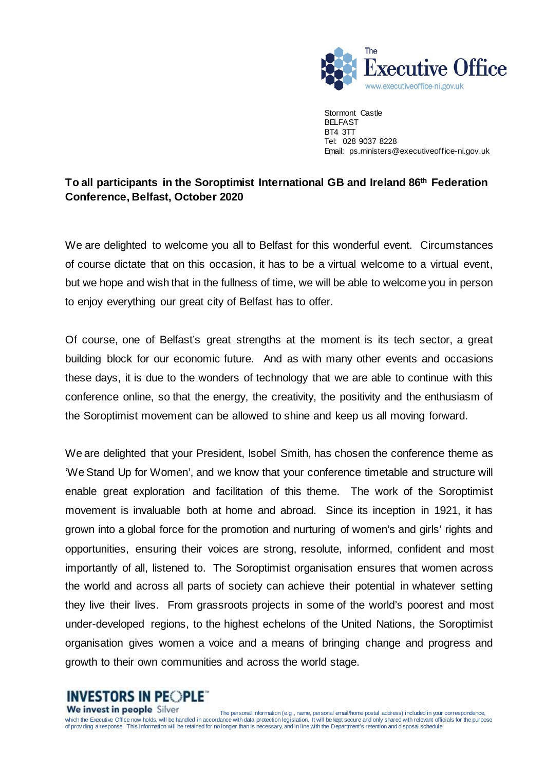

Stormont Castle BELFAST BT4 3TT Tel: 028 9037 8228 Email: ps.ministers@executiveoffice-ni.gov.uk

## **To all participants in the Soroptimist International GB and Ireland 86th Federation Conference, Belfast, October 2020**

We are delighted to welcome you all to Belfast for this wonderful event. Circumstances of course dictate that on this occasion, it has to be a virtual welcome to a virtual event, but we hope and wish that in the fullness of time, we will be able to welcome you in person to enjoy everything our great city of Belfast has to offer.

Of course, one of Belfast's great strengths at the moment is its tech sector, a great building block for our economic future. And as with many other events and occasions these days, it is due to the wonders of technology that we are able to continue with this conference online, so that the energy, the creativity, the positivity and the enthusiasm of the Soroptimist movement can be allowed to shine and keep us all moving forward.

We are delighted that your President, Isobel Smith, has chosen the conference theme as 'We Stand Up for Women', and we know that your conference timetable and structure will enable great exploration and facilitation of this theme. The work of the Soroptimist movement is invaluable both at home and abroad. Since its inception in 1921, it has grown into a global force for the promotion and nurturing of women's and girls' rights and opportunities, ensuring their voices are strong, resolute, informed, confident and most importantly of all, listened to. The Soroptimist organisation ensures that women across the world and across all parts of society can achieve their potential in whatever setting they live their lives. From grassroots projects in some of the world's poorest and most under-developed regions, to the highest echelons of the United Nations, the Soroptimist organisation gives women a voice and a means of bringing change and progress and growth to their own communities and across the world stage.

## **INVESTORS IN PEOPLE** We invest in people Silver

The personal information (e.g., name, personal email/home postal address) included in your correspondence, which the Executive Office now holds, will be handled in accordance with data protection legislation. It will be ke of providing a response. This information will be retained for no longer than is necessary, and in line with the Department's retention and disposal schedule.